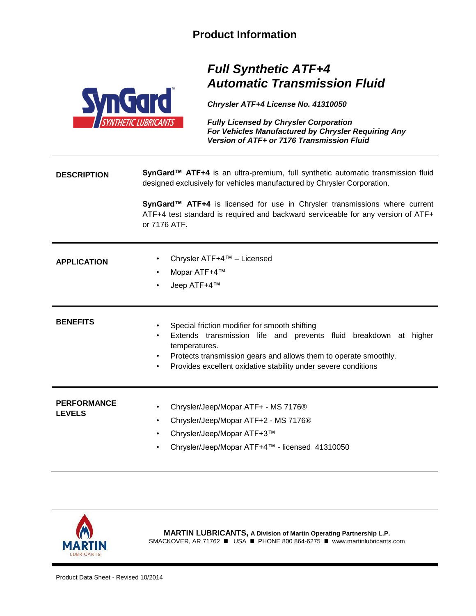## **Product Information**



## *Full Synthetic ATF+4 Automatic Transmission Fluid*

*Chrysler ATF+4 License No. 41310050* 

*Fully Licensed by Chrysler Corporation For Vehicles Manufactured by Chrysler Requiring Any Version of ATF+ or 7176 Transmission Fluid*

**DESCRIPTION** SynGard<sup>™</sup> ATF+4 is an ultra-premium, full synthetic automatic transmission fluid designed exclusively for vehicles manufactured by Chrysler Corporation.

> **SynGard™ ATF+4** is licensed for use in Chrysler transmissions where current ATF+4 test standard is required and backward serviceable for any version of ATF+ or 7176 ATF.

| <b>APPLICATION</b>                  | Chrysler ATF+4™ – Licensed<br>$\bullet$<br>Mopar ATF+4™<br>٠<br>Jeep ATF+4™<br>$\bullet$                                                                                                                                                                                                     |
|-------------------------------------|----------------------------------------------------------------------------------------------------------------------------------------------------------------------------------------------------------------------------------------------------------------------------------------------|
| <b>BENEFITS</b>                     | Special friction modifier for smooth shifting<br>٠<br>Extends transmission life and prevents fluid breakdown at higher<br>٠<br>temperatures.<br>Protects transmission gears and allows them to operate smoothly.<br>٠<br>Provides excellent oxidative stability under severe conditions<br>٠ |
| <b>PERFORMANCE</b><br><b>LEVELS</b> | Chrysler/Jeep/Mopar ATF+ - MS 7176®<br>$\bullet$<br>Chrysler/Jeep/Mopar ATF+2 - MS 7176®<br>٠<br>Chrysler/Jeep/Mopar ATF+3™<br>٠<br>Chrysler/Jeep/Mopar ATF+4™ - licensed 41310050<br>٠                                                                                                      |



**MARTIN LUBRICANTS, A Division of Martin Operating Partnership L.P.** SMACKOVER, AR 71762 ■ USA ■ PHONE 800 864-6275 ■ www.martinlubricants.com